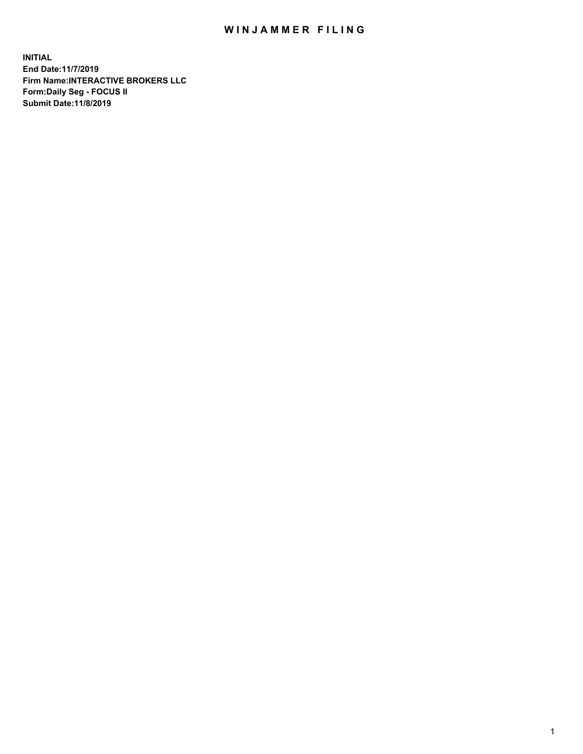## WIN JAMMER FILING

**INITIAL End Date:11/7/2019 Firm Name:INTERACTIVE BROKERS LLC Form:Daily Seg - FOCUS II Submit Date:11/8/2019**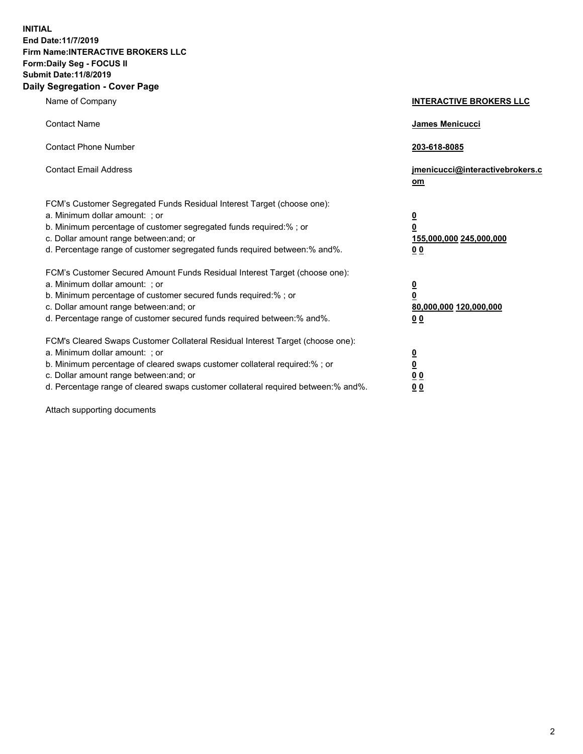**INITIAL End Date:11/7/2019 Firm Name:INTERACTIVE BROKERS LLC Form:Daily Seg - FOCUS II Submit Date:11/8/2019 Daily Segregation - Cover Page**

| Name of Company                                                                                                                                                                                                                                                                                                                | <b>INTERACTIVE BROKERS LLC</b>                                                                  |
|--------------------------------------------------------------------------------------------------------------------------------------------------------------------------------------------------------------------------------------------------------------------------------------------------------------------------------|-------------------------------------------------------------------------------------------------|
| <b>Contact Name</b>                                                                                                                                                                                                                                                                                                            | James Menicucci                                                                                 |
| <b>Contact Phone Number</b>                                                                                                                                                                                                                                                                                                    | 203-618-8085                                                                                    |
| <b>Contact Email Address</b>                                                                                                                                                                                                                                                                                                   | jmenicucci@interactivebrokers.c<br>om                                                           |
| FCM's Customer Segregated Funds Residual Interest Target (choose one):<br>a. Minimum dollar amount: ; or<br>b. Minimum percentage of customer segregated funds required:% ; or<br>c. Dollar amount range between: and; or<br>d. Percentage range of customer segregated funds required between:% and%.                         | $\overline{\mathbf{0}}$<br>$\overline{\mathbf{0}}$<br>155,000,000 245,000,000<br>0 <sub>0</sub> |
| FCM's Customer Secured Amount Funds Residual Interest Target (choose one):<br>a. Minimum dollar amount: ; or<br>b. Minimum percentage of customer secured funds required:% ; or<br>c. Dollar amount range between: and; or<br>d. Percentage range of customer secured funds required between:% and%.                           | $\overline{\mathbf{0}}$<br>0<br>80,000,000 120,000,000<br>0 <sub>0</sub>                        |
| FCM's Cleared Swaps Customer Collateral Residual Interest Target (choose one):<br>a. Minimum dollar amount: ; or<br>b. Minimum percentage of cleared swaps customer collateral required:% ; or<br>c. Dollar amount range between: and; or<br>d. Percentage range of cleared swaps customer collateral required between:% and%. | $\overline{\mathbf{0}}$<br><u>0</u><br>$\underline{0}$ $\underline{0}$<br>00                    |

Attach supporting documents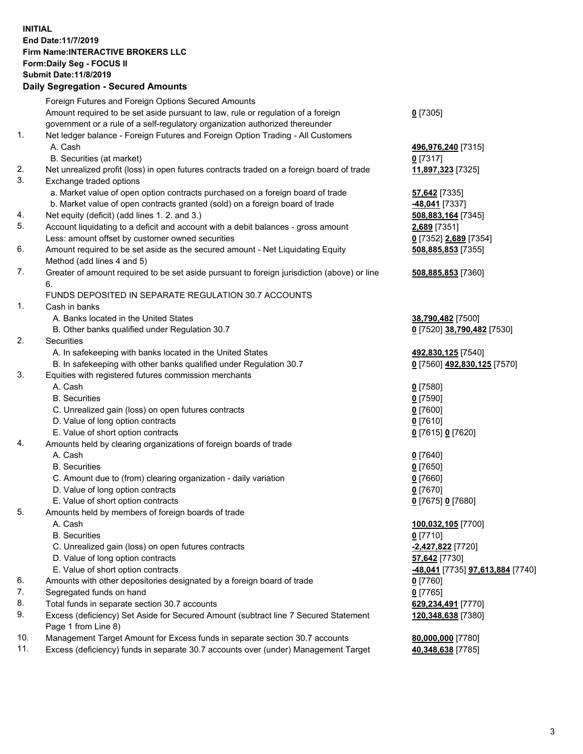## **INITIAL End Date:11/7/2019 Firm Name:INTERACTIVE BROKERS LLC Form:Daily Seg - FOCUS II Submit Date:11/8/2019 Daily Segregation - Secured Amounts**

|                | Daily Jegregation - Jeculed Aniounts                                                              |                                                      |
|----------------|---------------------------------------------------------------------------------------------------|------------------------------------------------------|
|                | Foreign Futures and Foreign Options Secured Amounts                                               |                                                      |
|                | Amount required to be set aside pursuant to law, rule or regulation of a foreign                  | $0$ [7305]                                           |
|                | government or a rule of a self-regulatory organization authorized thereunder                      |                                                      |
| $\mathbf{1}$ . | Net ledger balance - Foreign Futures and Foreign Option Trading - All Customers                   |                                                      |
|                | A. Cash                                                                                           | 496,976,240 [7315]                                   |
|                | B. Securities (at market)                                                                         | $0$ [7317]                                           |
| 2.             | Net unrealized profit (loss) in open futures contracts traded on a foreign board of trade         | 11,897,323 [7325]                                    |
| 3.             | Exchange traded options                                                                           |                                                      |
|                | a. Market value of open option contracts purchased on a foreign board of trade                    | <b>57,642</b> [7335]                                 |
|                | b. Market value of open contracts granted (sold) on a foreign board of trade                      | -48,041 [7337]                                       |
| 4.             | Net equity (deficit) (add lines 1.2. and 3.)                                                      | 508,883,164 [7345]                                   |
| 5.             | Account liquidating to a deficit and account with a debit balances - gross amount                 | 2,689 [7351]                                         |
|                | Less: amount offset by customer owned securities                                                  | 0 [7352] 2,689 [7354]                                |
| 6.             | Amount required to be set aside as the secured amount - Net Liquidating Equity                    | 508,885,853 [7355]                                   |
|                | Method (add lines 4 and 5)                                                                        |                                                      |
| 7.             | Greater of amount required to be set aside pursuant to foreign jurisdiction (above) or line<br>6. | 508,885,853 [7360]                                   |
|                | FUNDS DEPOSITED IN SEPARATE REGULATION 30.7 ACCOUNTS                                              |                                                      |
| 1.             | Cash in banks                                                                                     |                                                      |
|                | A. Banks located in the United States                                                             | 38,790,482 [7500]                                    |
|                | B. Other banks qualified under Regulation 30.7                                                    | 0 [7520] 38,790,482 [7530]                           |
| 2.             | Securities                                                                                        |                                                      |
|                | A. In safekeeping with banks located in the United States                                         | 492,830,125 [7540]                                   |
|                | B. In safekeeping with other banks qualified under Regulation 30.7                                | 0 [7560] 492,830,125 [7570]                          |
| 3.             | Equities with registered futures commission merchants                                             |                                                      |
|                | A. Cash                                                                                           | $0$ [7580]                                           |
|                | <b>B.</b> Securities                                                                              | $0$ [7590]                                           |
|                | C. Unrealized gain (loss) on open futures contracts                                               | $0$ [7600]                                           |
|                | D. Value of long option contracts                                                                 | $0$ [7610]                                           |
|                | E. Value of short option contracts                                                                | 0 [7615] 0 [7620]                                    |
| 4.             | Amounts held by clearing organizations of foreign boards of trade                                 |                                                      |
|                | A. Cash                                                                                           | $0$ [7640]                                           |
|                | <b>B.</b> Securities                                                                              | $0$ [7650]                                           |
|                | C. Amount due to (from) clearing organization - daily variation                                   | $0$ [7660]                                           |
|                | D. Value of long option contracts                                                                 | $0$ [7670]                                           |
|                | E. Value of short option contracts                                                                | 0 [7675] 0 [7680]                                    |
| 5.             | Amounts held by members of foreign boards of trade                                                |                                                      |
|                | A. Cash                                                                                           | 100,032,105 [7700]                                   |
|                | <b>B.</b> Securities                                                                              | $0$ [7710]                                           |
|                | C. Unrealized gain (loss) on open futures contracts                                               | -2,427,822 [7720]                                    |
|                | D. Value of long option contracts                                                                 | 57,642 [7730]                                        |
|                | E. Value of short option contracts                                                                | <mark>-48,041</mark> [7735] <b>97,613,884</b> [7740] |
| 6.             | Amounts with other depositories designated by a foreign board of trade                            | 0 [7760]                                             |
| 7.             | Segregated funds on hand                                                                          | $0$ [7765]                                           |
| 8.             | Total funds in separate section 30.7 accounts                                                     | 629,234,491 [7770]                                   |
| 9.             | Excess (deficiency) Set Aside for Secured Amount (subtract line 7 Secured Statement               | 120,348,638 [7380]                                   |
|                | Page 1 from Line 8)                                                                               |                                                      |
| 10.            | Management Target Amount for Excess funds in separate section 30.7 accounts                       | 80,000,000 [7780]                                    |
| 11.            | Excess (deficiency) funds in separate 30.7 accounts over (under) Management Target                | 40,348,638 [7785]                                    |
|                |                                                                                                   |                                                      |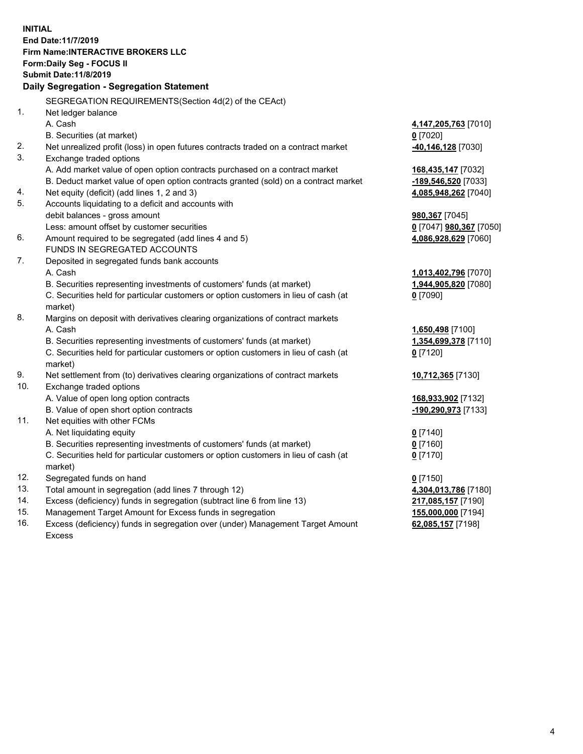**INITIAL End Date:11/7/2019 Firm Name:INTERACTIVE BROKERS LLC Form:Daily Seg - FOCUS II Submit Date:11/8/2019 Daily Segregation - Segregation Statement** SEGREGATION REQUIREMENTS(Section 4d(2) of the CEAct) 1. Net ledger balance A. Cash **4,147,205,763** [7010] B. Securities (at market) **0** [7020] 2. Net unrealized profit (loss) in open futures contracts traded on a contract market **-40,146,128** [7030] 3. Exchange traded options A. Add market value of open option contracts purchased on a contract market **168,435,147** [7032] B. Deduct market value of open option contracts granted (sold) on a contract market **-189,546,520** [7033] 4. Net equity (deficit) (add lines 1, 2 and 3) **4,085,948,262** [7040] 5. Accounts liquidating to a deficit and accounts with debit balances - gross amount **980,367** [7045] Less: amount offset by customer securities **0** [7047] **980,367** [7050] 6. Amount required to be segregated (add lines 4 and 5) **4,086,928,629** [7060] FUNDS IN SEGREGATED ACCOUNTS 7. Deposited in segregated funds bank accounts A. Cash **1,013,402,796** [7070] B. Securities representing investments of customers' funds (at market) **1,944,905,820** [7080] C. Securities held for particular customers or option customers in lieu of cash (at market) **0** [7090] 8. Margins on deposit with derivatives clearing organizations of contract markets A. Cash **1,650,498** [7100] B. Securities representing investments of customers' funds (at market) **1,354,699,378** [7110] C. Securities held for particular customers or option customers in lieu of cash (at market) **0** [7120] 9. Net settlement from (to) derivatives clearing organizations of contract markets **10,712,365** [7130] 10. Exchange traded options A. Value of open long option contracts **168,933,902** [7132] B. Value of open short option contracts **-190,290,973** [7133] 11. Net equities with other FCMs A. Net liquidating equity **0** [7140] B. Securities representing investments of customers' funds (at market) **0** [7160] C. Securities held for particular customers or option customers in lieu of cash (at market) **0** [7170] 12. Segregated funds on hand **0** [7150] 13. Total amount in segregation (add lines 7 through 12) **4,304,013,786** [7180] 14. Excess (deficiency) funds in segregation (subtract line 6 from line 13) **217,085,157** [7190] 15. Management Target Amount for Excess funds in segregation **155,000,000** [7194] **62,085,157** [7198]

16. Excess (deficiency) funds in segregation over (under) Management Target Amount Excess